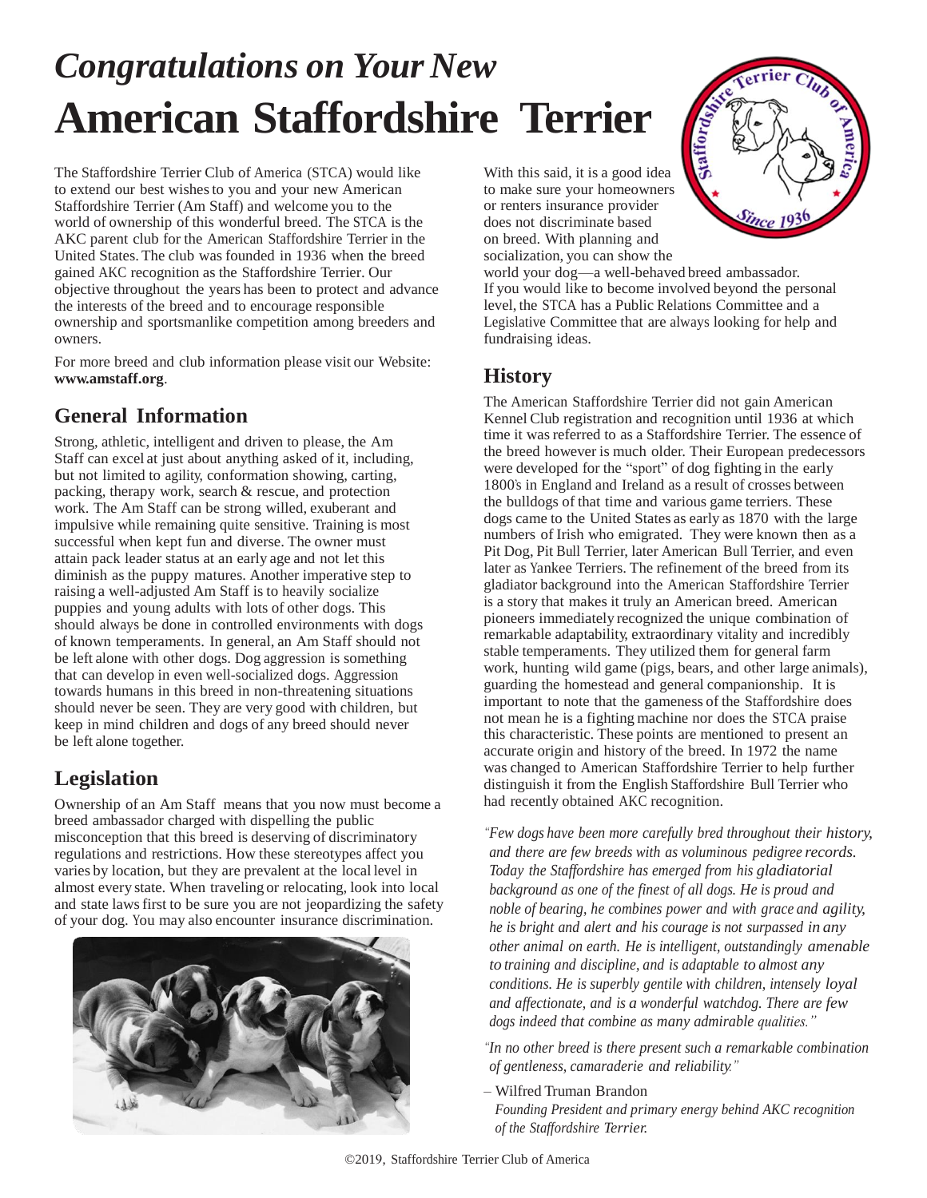# *Congratulations on Your New* **American Staffordshire Terrier**

The Staffordshire Terrier Club of America (STCA) would like to extend our best wishes to you and your new American Staffordshire Terrier (Am Staff) and welcome you to the world of ownership of this wonderful breed. The STCA is the AKC parent club for the American Staffordshire Terrier in the United States. The club was founded in 1936 when the breed gained AKC recognition as the Staffordshire Terrier. Our objective throughout the years has been to protect and advance the interests of the breed and to encourage responsible ownership and sportsmanlike competition among breeders and owners.

For more breed and club information please visit our Website: **www.amstaff.org**.

### **General Information**

Strong, athletic, intelligent and driven to please, the Am Staff can excel at just about anything asked of it, including, but not limited to agility, conformation showing, carting, packing, therapy work, search & rescue, and protection work. The Am Staff can be strong willed, exuberant and impulsive while remaining quite sensitive. Training is most successful when kept fun and diverse. The owner must attain pack leader status at an early age and not let this diminish as the puppy matures. Another imperative step to raising a well-adjusted Am Staff is to heavily socialize puppies and young adults with lots of other dogs. This should always be done in controlled environments with dogs of known temperaments. In general, an Am Staff should not be left alone with other dogs. Dog aggression is something that can develop in even well-socialized dogs. Aggression towards humans in this breed in non-threatening situations should never be seen. They are very good with children, but keep in mind children and dogs of any breed should never be left alone together.

### **Legislation**

Ownership of an Am Staff means that you now must become a breed ambassador charged with dispelling the public misconception that this breed is deserving of discriminatory regulations and restrictions. How these stereotypes affect you varies by location, but they are prevalent at the local level in almost every state. When traveling or relocating, look into local and state laws first to be sure you are not jeopardizing the safety of your dog. You may also encounter insurance discrimination.



With this said, it is a good idea to make sure your homeowners or renters insurance provider does not discriminate based on breed. With planning and socialization, you can show the



world your dog—a well-behaved breed ambassador. If you would like to become involved beyond the personal level, the STCA has a Public Relations Committee and a Legislative Committee that are always looking for help and fundraising ideas.

#### **History**

The American Staffordshire Terrier did not gain American Kennel Club registration and recognition until 1936 at which time it was referred to as a Staffordshire Terrier. The essence of the breed however is much older. Their European predecessors were developed for the "sport" of dog fighting in the early 1800's in England and Ireland as a result of crosses between the bulldogs of that time and various game terriers. These dogs came to the United States as early as 1870 with the large numbers of Irish who emigrated. They were known then as a Pit Dog, Pit Bull Terrier, later American Bull Terrier, and even later as Yankee Terriers. The refinement of the breed from its gladiator background into the American Staffordshire Terrier is a story that makes it truly an American breed. American pioneers immediately recognized the unique combination of remarkable adaptability, extraordinary vitality and incredibly stable temperaments. They utilized them for general farm work, hunting wild game (pigs, bears, and other large animals), guarding the homestead and general companionship. It is important to note that the gameness of the Staffordshire does not mean he is a fighting machine nor does the STCA praise this characteristic. These points are mentioned to present an accurate origin and history of the breed. In 1972 the name was changed to American Staffordshire Terrier to help further distinguish it from the English Staffordshire Bull Terrier who had recently obtained AKC recognition.

*"Few dogs have been more carefully bred throughout their history, and there are few breeds with as voluminous pedigree records. Today the Staffordshire has emerged from his gladiatorial background as one of the finest of all dogs. He is proud and noble of bearing, he combines power and with grace and agility, he is bright and alert and his courage is not surpassed in any other animal on earth. He is intelligent, outstandingly amenable to training and discipline, and is adaptable to almost any conditions. He is superbly gentile with children, intensely loyal and affectionate, and is a wonderful watchdog. There are few dogs indeed that combine as many admirable qualities."*

*"In no other breed is there present such a remarkable combination of gentleness, camaraderie and reliability."*

– Wilfred Truman Brandon

*Founding President and primary energy behind AKC recognition of the Staffordshire Terrier.*